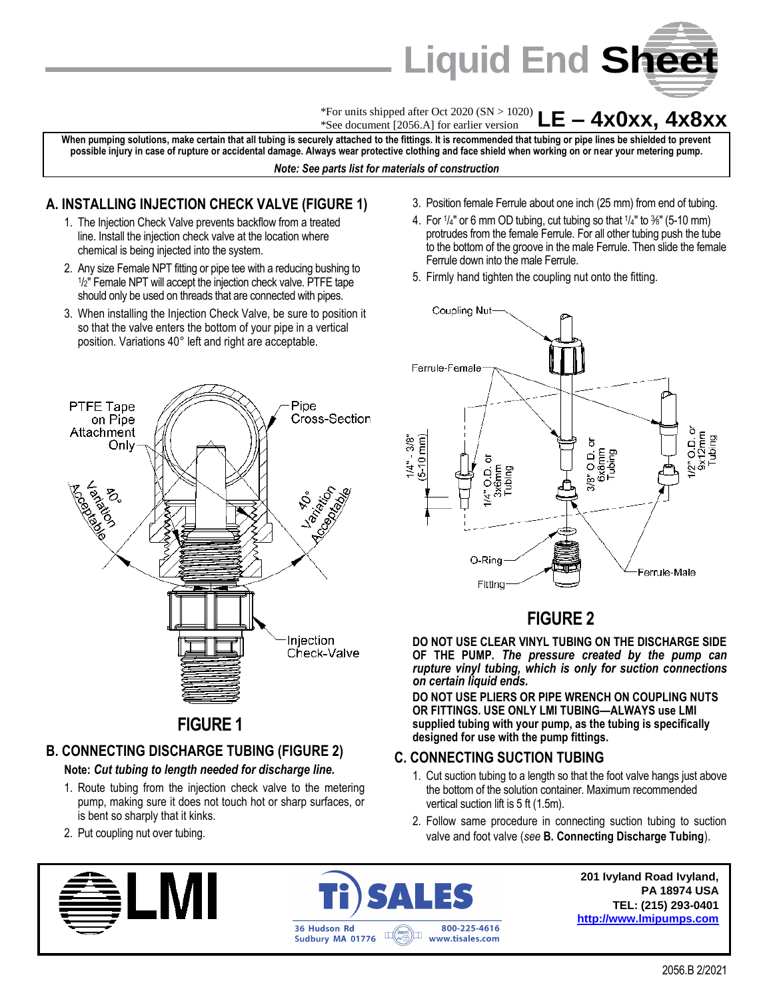

**LE – 4x0xx, 4x8xx** \*For units shipped after Oct 2020 (SN > 1020) \*See document [2056.A] for earlier version

**When pumping solutions, make certain that all tubing is securely attached to the fittings. It is recommended that tubing or pipe lines be shielded to prevent possible injury in case of rupture or accidental damage. Always wear protective clothing and face shield when working on or near your metering pump.** *Note: See parts list for materials of construction*

#### **A. INSTALLING INJECTION CHECK VALVE (FIGURE 1)**

- 1. The Injection Check Valve prevents backflow from a treated line. Install the injection check valve at the location where chemical is being injected into the system.
- 2. Any size Female NPT fitting or pipe tee with a reducing bushing to 1 /2" Female NPT will accept the injection check valve. PTFE tape should only be used on threads that are connected with pipes.
- 3. When installing the Injection Check Valve, be sure to position it so that the valve enters the bottom of your pipe in a vertical position. Variations 40° left and right are acceptable.



# **B. CONNECTING DISCHARGE TUBING (FIGURE 2)**

#### **Note:** *Cut tubing to length needed for discharge line.*

- 1. Route tubing from the injection check valve to the metering pump, making sure it does not touch hot or sharp surfaces, or is bent so sharply that it kinks.
- 2. Put coupling nut over tubing.





3. Position female Ferrule about one inch (25 mm) from end of tubing.

- 4. For  $\frac{1}{4}$ " or 6 mm OD tubing, cut tubing so that  $\frac{1}{4}$ " to  $\frac{3}{8}$ " (5-10 mm) protrudes from the female Ferrule. For all other tubing push the tube to the bottom of the groove in the male Ferrule. Then slide the female Ferrule down into the male Ferrule.
- 5. Firmly hand tighten the coupling nut onto the fitting.



# **FIGURE 2**

**DO NOT USE CLEAR VINYL TUBING ON THE DISCHARGE SIDE OF THE PUMP.** *The pressure created by the pump can rupture vinyl tubing, which is only for suction connections on certain liquid ends.*

**DO NOT USE PLIERS OR PIPE WRENCH ON COUPLING NUTS OR FITTINGS. USE ONLY LMI TUBING—ALWAYS use LMI supplied tubing with your pump, as the tubing is specifically designed for use with the pump fittings.**

#### **C. CONNECTING SUCTION TUBING**

- 1. Cut suction tubing to a length so that the foot valve hangs just above the bottom of the solution container. Maximum recommended vertical suction lift is 5 ft (1.5m).
- 2. Follow same procedure in connecting suction tubing to suction valve and foot valve (*see* **B. Connecting Discharge Tubing**).

**201 Ivyland Road Ivyland, PA 18974 USA TEL: (215) 293-0401 [http://www.lmipumps.com](http://www.lmipumps.com/)**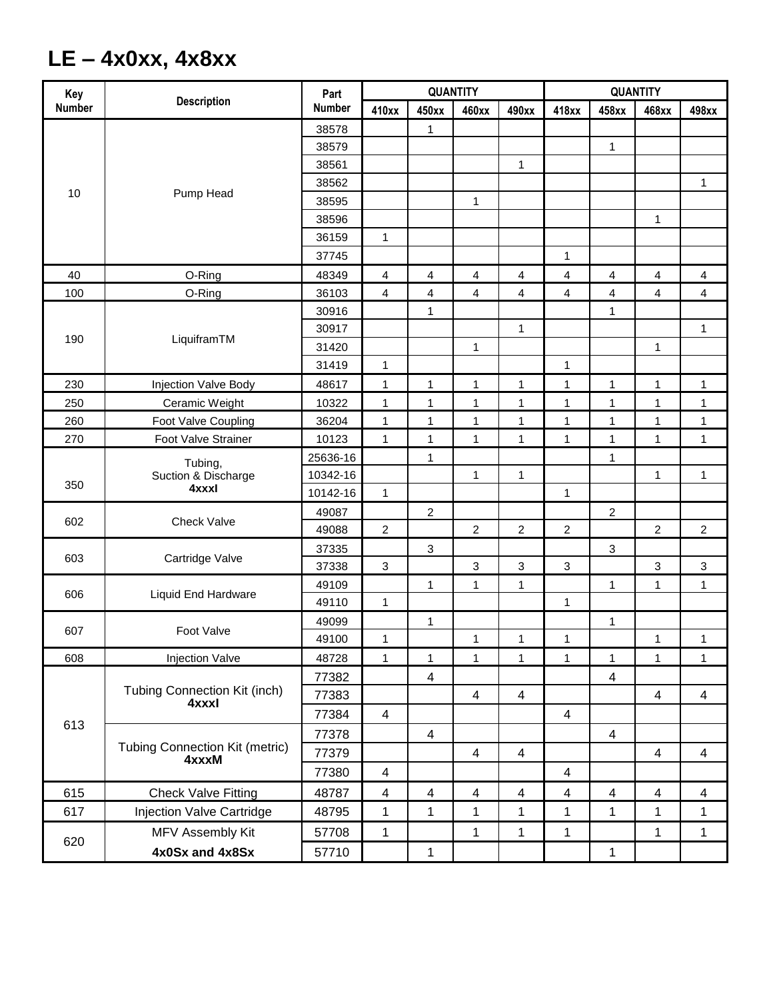# **LE – 4x0xx, 4x8xx**

| <b>Number</b><br><b>Number</b><br>410xx<br>450xx<br>460xx<br>418xx<br>498xx<br>490xx<br>458xx<br>468xx<br>38578<br>1<br>$\mathbf{1}$<br>38579<br>$\mathbf{1}$<br>38561<br>38562<br>1<br>Pump Head<br>10<br>38595<br>$\mathbf{1}$<br>38596<br>1<br>36159<br>$\mathbf{1}$<br>$\mathbf{1}$<br>37745<br>40<br>O-Ring<br>48349<br>4<br>$\overline{4}$<br>$\overline{4}$<br>4<br>4<br>4<br>$\overline{4}$<br>$\overline{4}$<br>100<br>O-Ring<br>36103<br>4<br>4<br>4<br>$\overline{\mathbf{4}}$<br>4<br>4<br>$\overline{4}$<br>4<br>30916<br>$\mathbf{1}$<br>1<br>30917<br>$\mathbf{1}$<br>1<br>LiquiframTM<br>190<br>$\mathbf{1}$<br>31420<br>$\mathbf{1}$<br>31419<br>$\mathbf{1}$<br>1<br>230<br>Injection Valve Body<br>48617<br>$\mathbf{1}$<br>1<br>$\mathbf{1}$<br>$\mathbf{1}$<br>$\mathbf{1}$<br>1<br>1<br>1 | Key | <b>Description</b>                             | Part | <b>QUANTITY</b> |  |  |  | <b>QUANTITY</b> |  |  |  |
|-----------------------------------------------------------------------------------------------------------------------------------------------------------------------------------------------------------------------------------------------------------------------------------------------------------------------------------------------------------------------------------------------------------------------------------------------------------------------------------------------------------------------------------------------------------------------------------------------------------------------------------------------------------------------------------------------------------------------------------------------------------------------------------------------------------------|-----|------------------------------------------------|------|-----------------|--|--|--|-----------------|--|--|--|
|                                                                                                                                                                                                                                                                                                                                                                                                                                                                                                                                                                                                                                                                                                                                                                                                                 |     |                                                |      |                 |  |  |  |                 |  |  |  |
|                                                                                                                                                                                                                                                                                                                                                                                                                                                                                                                                                                                                                                                                                                                                                                                                                 |     |                                                |      |                 |  |  |  |                 |  |  |  |
|                                                                                                                                                                                                                                                                                                                                                                                                                                                                                                                                                                                                                                                                                                                                                                                                                 |     |                                                |      |                 |  |  |  |                 |  |  |  |
|                                                                                                                                                                                                                                                                                                                                                                                                                                                                                                                                                                                                                                                                                                                                                                                                                 |     |                                                |      |                 |  |  |  |                 |  |  |  |
|                                                                                                                                                                                                                                                                                                                                                                                                                                                                                                                                                                                                                                                                                                                                                                                                                 |     |                                                |      |                 |  |  |  |                 |  |  |  |
|                                                                                                                                                                                                                                                                                                                                                                                                                                                                                                                                                                                                                                                                                                                                                                                                                 |     |                                                |      |                 |  |  |  |                 |  |  |  |
|                                                                                                                                                                                                                                                                                                                                                                                                                                                                                                                                                                                                                                                                                                                                                                                                                 |     |                                                |      |                 |  |  |  |                 |  |  |  |
|                                                                                                                                                                                                                                                                                                                                                                                                                                                                                                                                                                                                                                                                                                                                                                                                                 |     |                                                |      |                 |  |  |  |                 |  |  |  |
|                                                                                                                                                                                                                                                                                                                                                                                                                                                                                                                                                                                                                                                                                                                                                                                                                 |     |                                                |      |                 |  |  |  |                 |  |  |  |
|                                                                                                                                                                                                                                                                                                                                                                                                                                                                                                                                                                                                                                                                                                                                                                                                                 |     |                                                |      |                 |  |  |  |                 |  |  |  |
|                                                                                                                                                                                                                                                                                                                                                                                                                                                                                                                                                                                                                                                                                                                                                                                                                 |     |                                                |      |                 |  |  |  |                 |  |  |  |
|                                                                                                                                                                                                                                                                                                                                                                                                                                                                                                                                                                                                                                                                                                                                                                                                                 |     |                                                |      |                 |  |  |  |                 |  |  |  |
|                                                                                                                                                                                                                                                                                                                                                                                                                                                                                                                                                                                                                                                                                                                                                                                                                 |     |                                                |      |                 |  |  |  |                 |  |  |  |
|                                                                                                                                                                                                                                                                                                                                                                                                                                                                                                                                                                                                                                                                                                                                                                                                                 |     |                                                |      |                 |  |  |  |                 |  |  |  |
|                                                                                                                                                                                                                                                                                                                                                                                                                                                                                                                                                                                                                                                                                                                                                                                                                 |     |                                                |      |                 |  |  |  |                 |  |  |  |
|                                                                                                                                                                                                                                                                                                                                                                                                                                                                                                                                                                                                                                                                                                                                                                                                                 |     |                                                |      |                 |  |  |  |                 |  |  |  |
| 250<br>Ceramic Weight<br>10322<br>$\mathbf{1}$<br>$\mathbf{1}$<br>$\mathbf{1}$<br>1<br>1<br>1<br>1<br>1                                                                                                                                                                                                                                                                                                                                                                                                                                                                                                                                                                                                                                                                                                         |     |                                                |      |                 |  |  |  |                 |  |  |  |
| $\mathbf{1}$<br>$\mathbf{1}$<br>1<br>260<br>Foot Valve Coupling<br>36204<br>$\mathbf{1}$<br>1<br>$\mathbf{1}$<br>1<br>1                                                                                                                                                                                                                                                                                                                                                                                                                                                                                                                                                                                                                                                                                         |     |                                                |      |                 |  |  |  |                 |  |  |  |
| 270<br>Foot Valve Strainer<br>10123<br>$\mathbf{1}$<br>$\mathbf{1}$<br>1<br>$\mathbf{1}$<br>$\mathbf{1}$<br>1<br>1<br>1                                                                                                                                                                                                                                                                                                                                                                                                                                                                                                                                                                                                                                                                                         |     |                                                |      |                 |  |  |  |                 |  |  |  |
| 25636-16<br>1<br>1                                                                                                                                                                                                                                                                                                                                                                                                                                                                                                                                                                                                                                                                                                                                                                                              | 350 | Tubing,<br>Suction & Discharge<br>4xxxl        |      |                 |  |  |  |                 |  |  |  |
| 10342-16<br>1<br>1<br>1<br>1                                                                                                                                                                                                                                                                                                                                                                                                                                                                                                                                                                                                                                                                                                                                                                                    |     |                                                |      |                 |  |  |  |                 |  |  |  |
| 10142-16<br>$\mathbf{1}$<br>$\mathbf{1}$                                                                                                                                                                                                                                                                                                                                                                                                                                                                                                                                                                                                                                                                                                                                                                        |     |                                                |      |                 |  |  |  |                 |  |  |  |
| $\overline{2}$<br>$\overline{c}$<br>49087                                                                                                                                                                                                                                                                                                                                                                                                                                                                                                                                                                                                                                                                                                                                                                       | 602 | <b>Check Valve</b>                             |      |                 |  |  |  |                 |  |  |  |
| 49088<br>$\overline{c}$<br>$\overline{c}$<br>$\overline{\mathbf{c}}$<br>$\overline{\mathbf{c}}$<br>2<br>$\overline{c}$                                                                                                                                                                                                                                                                                                                                                                                                                                                                                                                                                                                                                                                                                          |     |                                                |      |                 |  |  |  |                 |  |  |  |
| 37335<br>$\ensuremath{\mathsf{3}}$<br>$\mathbf{3}$                                                                                                                                                                                                                                                                                                                                                                                                                                                                                                                                                                                                                                                                                                                                                              | 603 | Cartridge Valve                                |      |                 |  |  |  |                 |  |  |  |
| 3<br>3<br>3<br>37338<br>3<br>3<br>3                                                                                                                                                                                                                                                                                                                                                                                                                                                                                                                                                                                                                                                                                                                                                                             |     |                                                |      |                 |  |  |  |                 |  |  |  |
| 49109<br>$\mathbf{1}$<br>1<br>1<br>1<br>1<br>1                                                                                                                                                                                                                                                                                                                                                                                                                                                                                                                                                                                                                                                                                                                                                                  | 606 | Liquid End Hardware                            |      |                 |  |  |  |                 |  |  |  |
| 49110<br>$\mathbf{1}$<br>1                                                                                                                                                                                                                                                                                                                                                                                                                                                                                                                                                                                                                                                                                                                                                                                      |     |                                                |      |                 |  |  |  |                 |  |  |  |
| 49099<br>$\mathbf{1}$<br>1                                                                                                                                                                                                                                                                                                                                                                                                                                                                                                                                                                                                                                                                                                                                                                                      | 607 | Foot Valve                                     |      |                 |  |  |  |                 |  |  |  |
| 49100<br>$\mathbf{1}$<br>$\mathbf{1}$<br>1<br>1<br>1<br>$\mathbf{1}$                                                                                                                                                                                                                                                                                                                                                                                                                                                                                                                                                                                                                                                                                                                                            |     |                                                |      |                 |  |  |  |                 |  |  |  |
| 608<br><b>Injection Valve</b><br>48728<br>$\mathbf 1$<br>1<br>$\mathbf{1}$<br>$\mathbf 1$<br>$\mathbf{1}$<br>$\mathbf{1}$<br>1<br>1                                                                                                                                                                                                                                                                                                                                                                                                                                                                                                                                                                                                                                                                             |     |                                                |      |                 |  |  |  |                 |  |  |  |
| 4<br>$\overline{4}$<br>77382                                                                                                                                                                                                                                                                                                                                                                                                                                                                                                                                                                                                                                                                                                                                                                                    | 613 | Tubing Connection Kit (inch)<br>4xxxl          |      |                 |  |  |  |                 |  |  |  |
| $\overline{4}$<br>$\overline{4}$<br>$\overline{4}$<br>$\overline{4}$<br>77383                                                                                                                                                                                                                                                                                                                                                                                                                                                                                                                                                                                                                                                                                                                                   |     |                                                |      |                 |  |  |  |                 |  |  |  |
| 4<br>77384<br>$\overline{\mathcal{A}}$                                                                                                                                                                                                                                                                                                                                                                                                                                                                                                                                                                                                                                                                                                                                                                          |     |                                                |      |                 |  |  |  |                 |  |  |  |
| $\overline{\mathbf{4}}$<br>$\overline{\mathbf{4}}$<br>77378                                                                                                                                                                                                                                                                                                                                                                                                                                                                                                                                                                                                                                                                                                                                                     |     | <b>Tubing Connection Kit (metric)</b><br>4xxxM |      |                 |  |  |  |                 |  |  |  |
| 77379<br>$\overline{\mathbf{4}}$<br>4<br>$\overline{\mathbf{4}}$<br>$\overline{\mathbf{4}}$                                                                                                                                                                                                                                                                                                                                                                                                                                                                                                                                                                                                                                                                                                                     |     |                                                |      |                 |  |  |  |                 |  |  |  |
| 77380<br>4<br>4                                                                                                                                                                                                                                                                                                                                                                                                                                                                                                                                                                                                                                                                                                                                                                                                 |     |                                                |      |                 |  |  |  |                 |  |  |  |
| $\overline{4}$<br>$\overline{\mathbf{4}}$<br>615<br><b>Check Valve Fitting</b><br>48787<br>4<br>$\overline{\mathcal{A}}$<br>$\overline{\mathbf{4}}$<br>$\overline{4}$<br>4<br>$\overline{\mathbf{4}}$                                                                                                                                                                                                                                                                                                                                                                                                                                                                                                                                                                                                           |     |                                                |      |                 |  |  |  |                 |  |  |  |
| 617<br>Injection Valve Cartridge<br>48795<br>1<br>1<br>1<br>1<br>1<br>1<br>1<br>1                                                                                                                                                                                                                                                                                                                                                                                                                                                                                                                                                                                                                                                                                                                               |     |                                                |      |                 |  |  |  |                 |  |  |  |
| $\mathbf{1}$<br>$\mathbf{1}$<br>1<br>MFV Assembly Kit<br>$\mathbf{1}$<br>1<br>1<br>57708                                                                                                                                                                                                                                                                                                                                                                                                                                                                                                                                                                                                                                                                                                                        | 620 |                                                |      |                 |  |  |  |                 |  |  |  |
| 4x0Sx and 4x8Sx<br>57710<br>1<br>1                                                                                                                                                                                                                                                                                                                                                                                                                                                                                                                                                                                                                                                                                                                                                                              |     |                                                |      |                 |  |  |  |                 |  |  |  |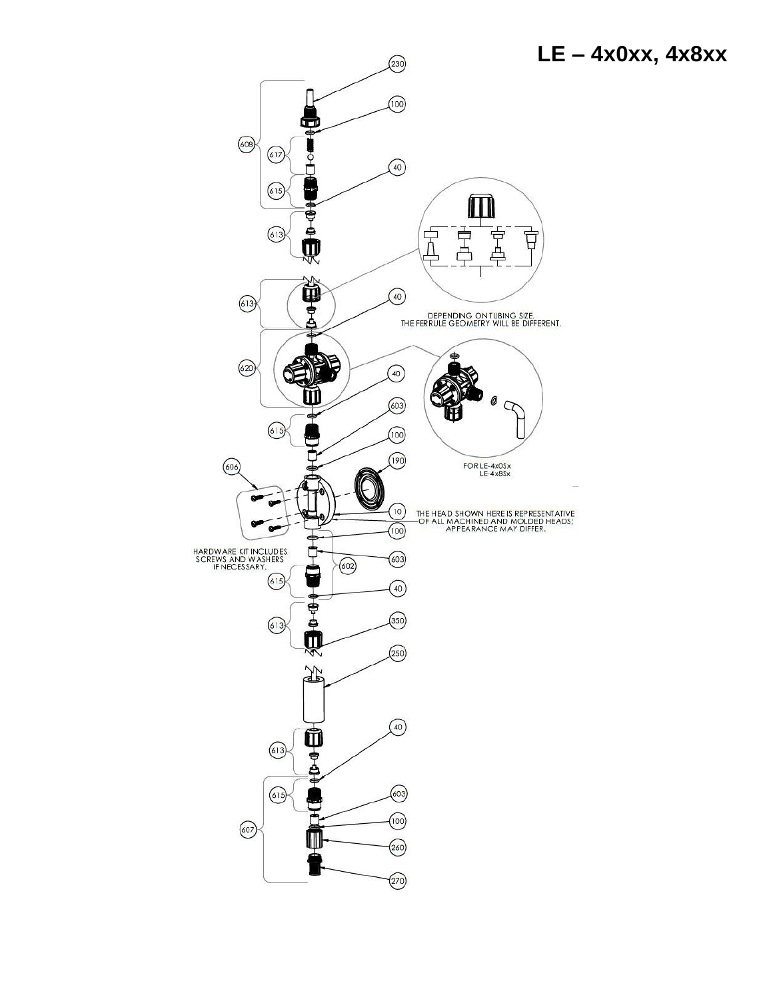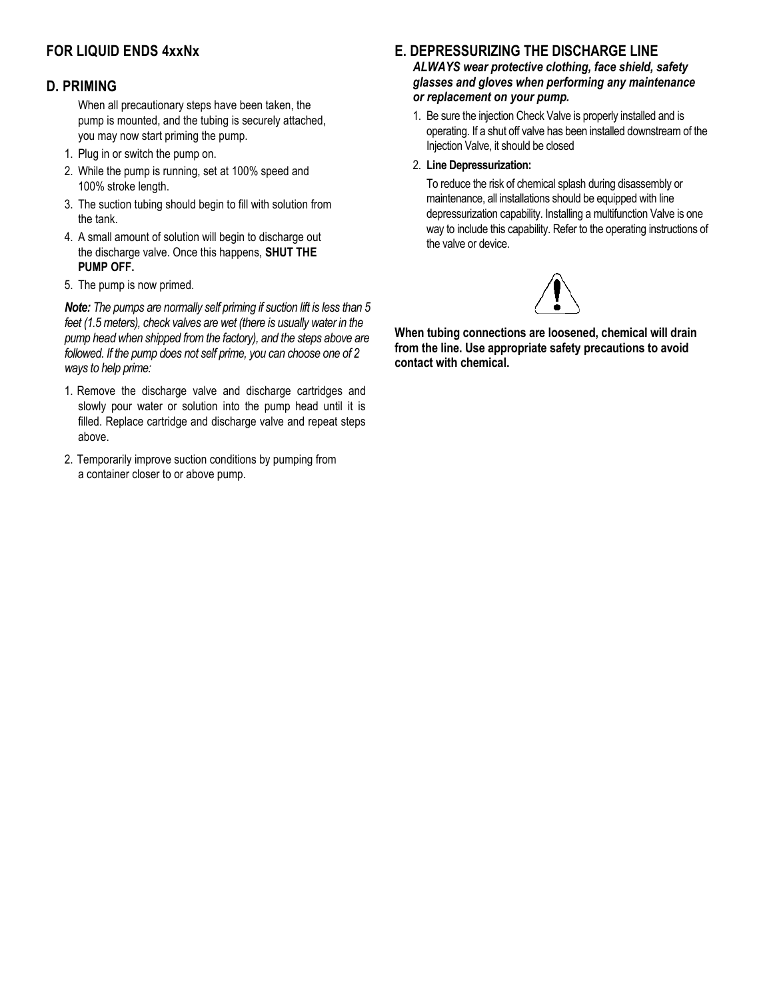# **FOR LIQUID ENDS 4xxNx**

#### **D. PRIMING**

When all precautionary steps have been taken, the pump is mounted, and the tubing is securely attached, you may now start priming the pump.

- 1. Plug in or switch the pump on.
- 2. While the pump is running, set at 100% speed and 100% stroke length.
- 3. The suction tubing should begin to fill with solution from the tank.
- 4. A small amount of solution will begin to discharge out the discharge valve. Once this happens, **SHUT THE PUMP OFF.**
- 5. The pump is now primed.

*Note: The pumps are normally self priming if suction lift is less than 5 feet (1.5 meters), check valves are wet (there is usually water in the pump head when shipped from the factory), and the steps above are followed. If the pump does not self prime, you can choose one of 2 ways to help prime:*

- 1. Remove the discharge valve and discharge cartridges and slowly pour water or solution into the pump head until it is filled. Replace cartridge and discharge valve and repeat steps above.
- 2. Temporarily improve suction conditions by pumping from a container closer to or above pump.

#### **E. DEPRESSURIZING THE DISCHARGE LINE**

*ALWAYS wear protective clothing, face shield, safety glasses and gloves when performing any maintenance or replacement on your pump.*

1. Be sure the injection Check Valve is properly installed and is operating. If a shut off valve has been installed downstream of the Injection Valve, it should be closed

#### 2. **Line Depressurization:**

To reduce the risk of chemical splash during disassembly or maintenance, all installations should be equipped with line depressurization capability. Installing a multifunction Valve is one way to include this capability. Refer to the operating instructions of the valve or device.



**When tubing connections are loosened, chemical will drain from the line. Use appropriate safety precautions to avoid contact with chemical.**